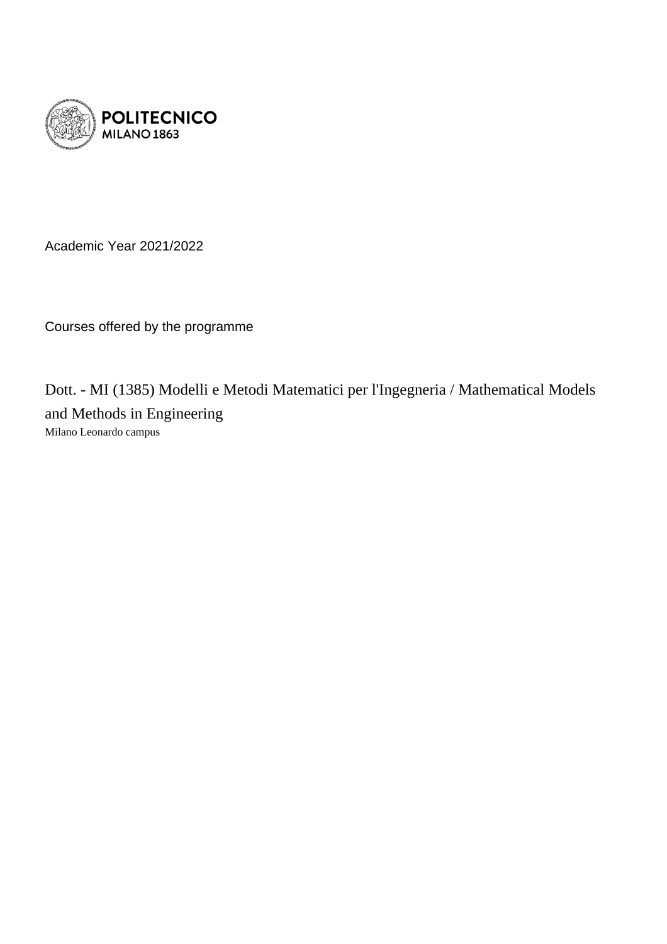

Academic Year 2021/2022

Courses offered by the programme

Dott. - MI (1385) Modelli e Metodi Matematici per l'Ingegneria / Mathematical Models and Methods in Engineering Milano Leonardo campus